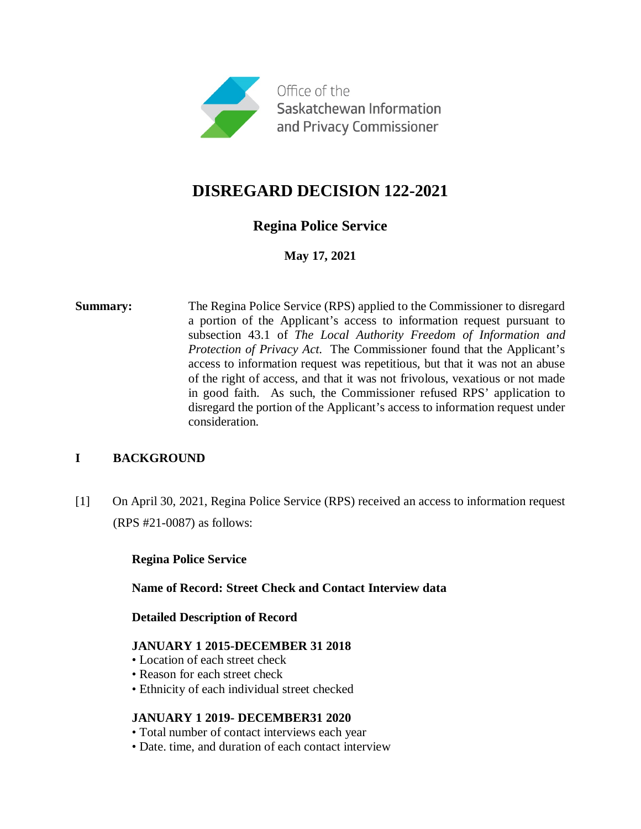

# **DISREGARD DECISION 122-2021**

## **Regina Police Service**

**May 17, 2021**

**Summary:** The Regina Police Service (RPS) applied to the Commissioner to disregard a portion of the Applicant's access to information request pursuant to subsection 43.1 of *The Local Authority Freedom of Information and Protection of Privacy Act*. The Commissioner found that the Applicant's access to information request was repetitious, but that it was not an abuse of the right of access, and that it was not frivolous, vexatious or not made in good faith. As such, the Commissioner refused RPS' application to disregard the portion of the Applicant's access to information request under consideration.

## **I BACKGROUND**

[1] On April 30, 2021, Regina Police Service (RPS) received an access to information request (RPS #21-0087) as follows:

## **Regina Police Service**

#### **Name of Record: Street Check and Contact Interview data**

#### **Detailed Description of Record**

## **JANUARY 1 2015-DECEMBER 31 2018**

- Location of each street check
- Reason for each street check
- Ethnicity of each individual street checked

## **JANUARY 1 2019- DECEMBER31 2020**

- Total number of contact interviews each year
- Date. time, and duration of each contact interview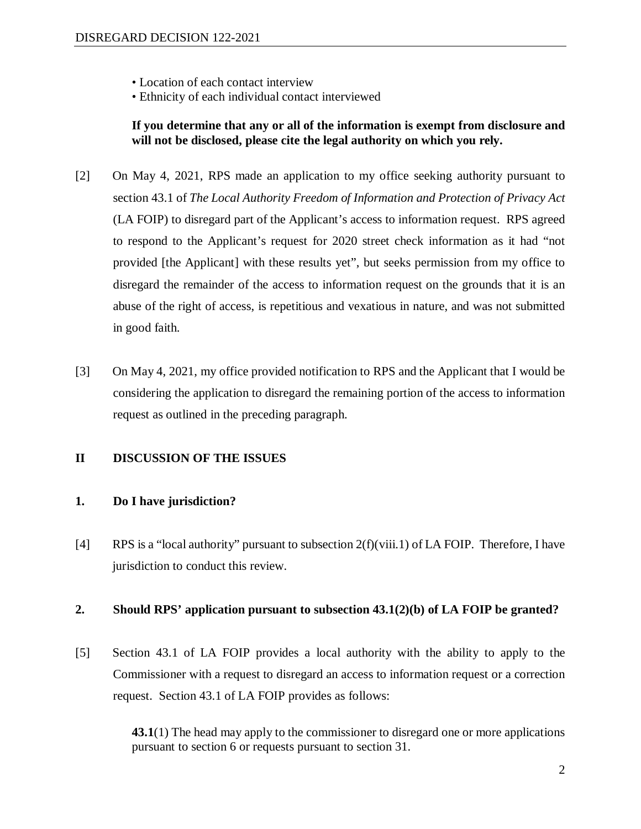- Location of each contact interview
- Ethnicity of each individual contact interviewed

**If you determine that any or all of the information is exempt from disclosure and will not be disclosed, please cite the legal authority on which you rely.**

- [2] On May 4, 2021, RPS made an application to my office seeking authority pursuant to section 43.1 of *The Local Authority Freedom of Information and Protection of Privacy Act* (LA FOIP) to disregard part of the Applicant's access to information request. RPS agreed to respond to the Applicant's request for 2020 street check information as it had "not provided [the Applicant] with these results yet", but seeks permission from my office to disregard the remainder of the access to information request on the grounds that it is an abuse of the right of access, is repetitious and vexatious in nature, and was not submitted in good faith.
- [3] On May 4, 2021, my office provided notification to RPS and the Applicant that I would be considering the application to disregard the remaining portion of the access to information request as outlined in the preceding paragraph.

#### **II DISCUSSION OF THE ISSUES**

#### **1. Do I have jurisdiction?**

[4] RPS is a "local authority" pursuant to subsection  $2(f)(viii.1)$  of LA FOIP. Therefore, I have jurisdiction to conduct this review.

#### **2. Should RPS' application pursuant to subsection 43.1(2)(b) of LA FOIP be granted?**

[5] Section 43.1 of LA FOIP provides a local authority with the ability to apply to the Commissioner with a request to disregard an access to information request or a correction request. Section 43.1 of LA FOIP provides as follows:

> **43.1**(1) The head may apply to the commissioner to disregard one or more applications pursuant to section 6 or requests pursuant to section 31.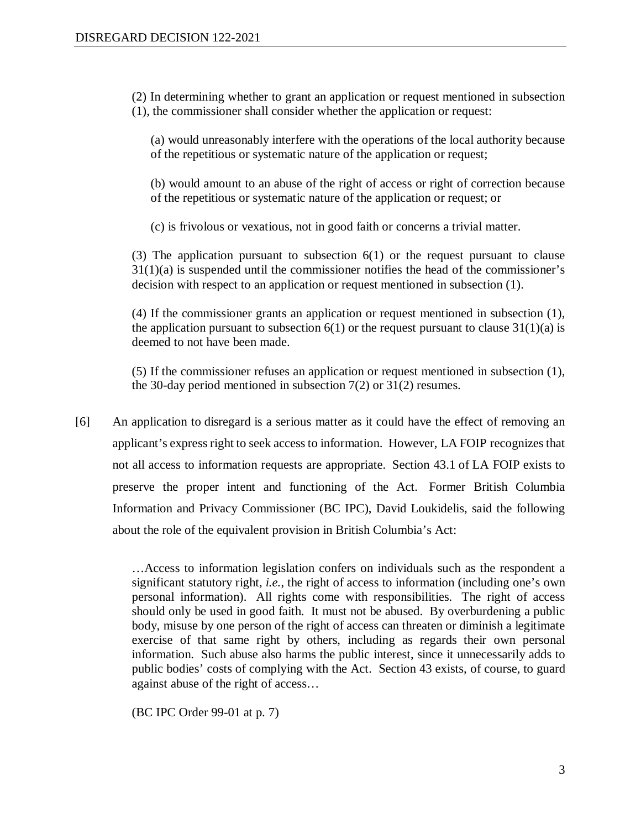(2) In determining whether to grant an application or request mentioned in subsection (1), the commissioner shall consider whether the application or request:

(a) would unreasonably interfere with the operations of the local authority because of the repetitious or systematic nature of the application or request;

(b) would amount to an abuse of the right of access or right of correction because of the repetitious or systematic nature of the application or request; or

(c) is frivolous or vexatious, not in good faith or concerns a trivial matter.

(3) The application pursuant to subsection 6(1) or the request pursuant to clause 31(1)(a) is suspended until the commissioner notifies the head of the commissioner's decision with respect to an application or request mentioned in subsection (1).

(4) If the commissioner grants an application or request mentioned in subsection (1), the application pursuant to subsection  $6(1)$  or the request pursuant to clause  $31(1)(a)$  is deemed to not have been made.

(5) If the commissioner refuses an application or request mentioned in subsection (1), the 30-day period mentioned in subsection 7(2) or 31(2) resumes.

[6] An application to disregard is a serious matter as it could have the effect of removing an applicant's express right to seek access to information. However, LA FOIP recognizes that not all access to information requests are appropriate. Section 43.1 of LA FOIP exists to preserve the proper intent and functioning of the Act. Former British Columbia Information and Privacy Commissioner (BC IPC), David Loukidelis, said the following about the role of the equivalent provision in British Columbia's Act:

> …Access to information legislation confers on individuals such as the respondent a significant statutory right, *i.e.*, the right of access to information (including one's own personal information). All rights come with responsibilities. The right of access should only be used in good faith. It must not be abused. By overburdening a public body, misuse by one person of the right of access can threaten or diminish a legitimate exercise of that same right by others, including as regards their own personal information. Such abuse also harms the public interest, since it unnecessarily adds to public bodies' costs of complying with the Act. Section 43 exists, of course, to guard against abuse of the right of access…

(BC IPC Order 99-01 at p. 7)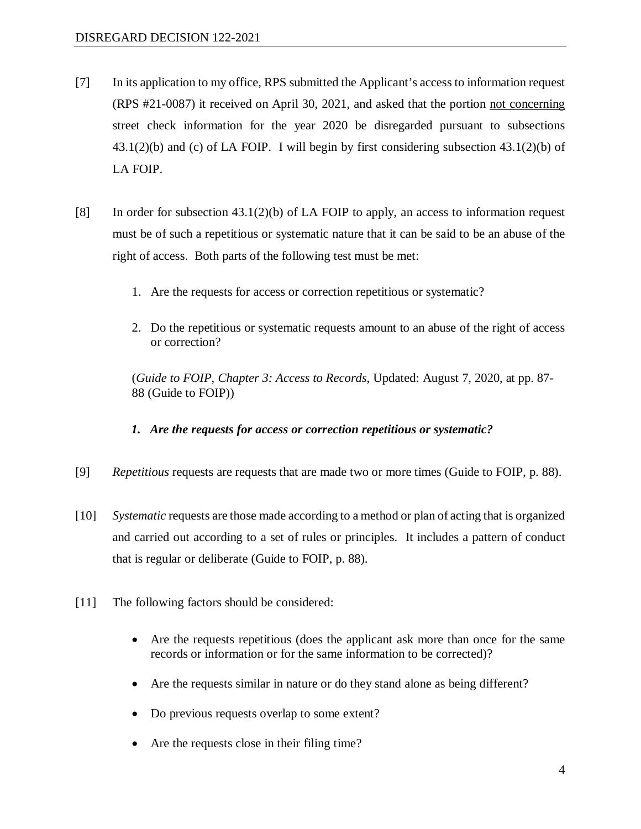- [7] In its application to my office, RPS submitted the Applicant's access to information request (RPS #21-0087) it received on April 30, 2021, and asked that the portion not concerning street check information for the year 2020 be disregarded pursuant to subsections 43.1(2)(b) and (c) of LA FOIP. I will begin by first considering subsection 43.1(2)(b) of LA FOIP.
- [8] In order for subsection 43.1(2)(b) of LA FOIP to apply, an access to information request must be of such a repetitious or systematic nature that it can be said to be an abuse of the right of access. Both parts of the following test must be met:
	- 1. Are the requests for access or correction repetitious or systematic?
	- 2. Do the repetitious or systematic requests amount to an abuse of the right of access or correction?

(*Guide to FOIP, Chapter 3: Access to Records*, Updated: August 7, 2020, at pp. 87- 88 (Guide to FOIP))

## *1. Are the requests for access or correction repetitious or systematic?*

- [9] *Repetitious* requests are requests that are made two or more times (Guide to FOIP, p. 88).
- [10] *Systematic* requests are those made according to a method or plan of acting that is organized and carried out according to a set of rules or principles. It includes a pattern of conduct that is regular or deliberate (Guide to FOIP, p. 88).
- [11] The following factors should be considered:
	- Are the requests repetitious (does the applicant ask more than once for the same records or information or for the same information to be corrected)?
	- Are the requests similar in nature or do they stand alone as being different?
	- Do previous requests overlap to some extent?
	- Are the requests close in their filing time?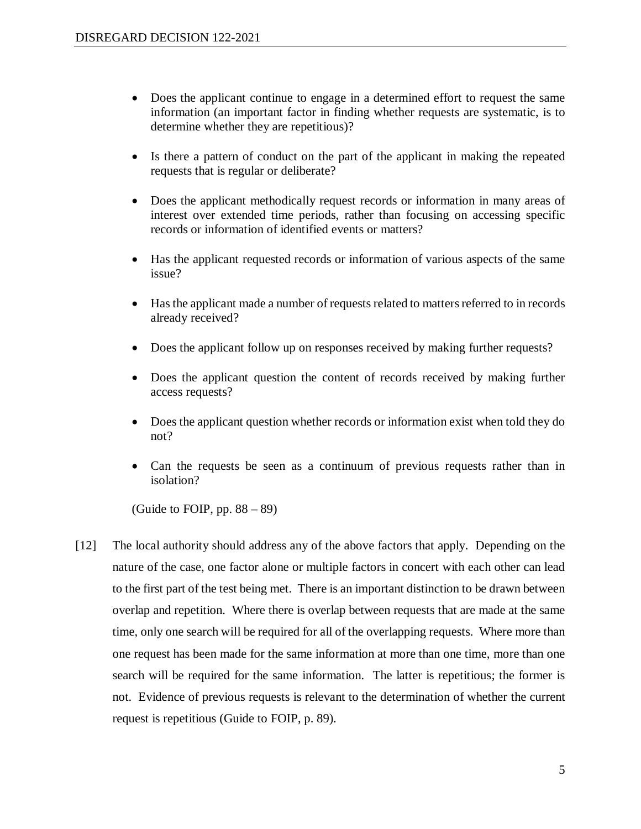- Does the applicant continue to engage in a determined effort to request the same information (an important factor in finding whether requests are systematic, is to determine whether they are repetitious)?
- Is there a pattern of conduct on the part of the applicant in making the repeated requests that is regular or deliberate?
- Does the applicant methodically request records or information in many areas of interest over extended time periods, rather than focusing on accessing specific records or information of identified events or matters?
- Has the applicant requested records or information of various aspects of the same issue?
- Has the applicant made a number of requests related to matters referred to in records already received?
- Does the applicant follow up on responses received by making further requests?
- Does the applicant question the content of records received by making further access requests?
- Does the applicant question whether records or information exist when told they do not?
- Can the requests be seen as a continuum of previous requests rather than in isolation?

(Guide to FOIP, pp.  $88 - 89$ )

[12] The local authority should address any of the above factors that apply. Depending on the nature of the case, one factor alone or multiple factors in concert with each other can lead to the first part of the test being met. There is an important distinction to be drawn between overlap and repetition. Where there is overlap between requests that are made at the same time, only one search will be required for all of the overlapping requests. Where more than one request has been made for the same information at more than one time, more than one search will be required for the same information. The latter is repetitious; the former is not. Evidence of previous requests is relevant to the determination of whether the current request is repetitious (Guide to FOIP, p. 89).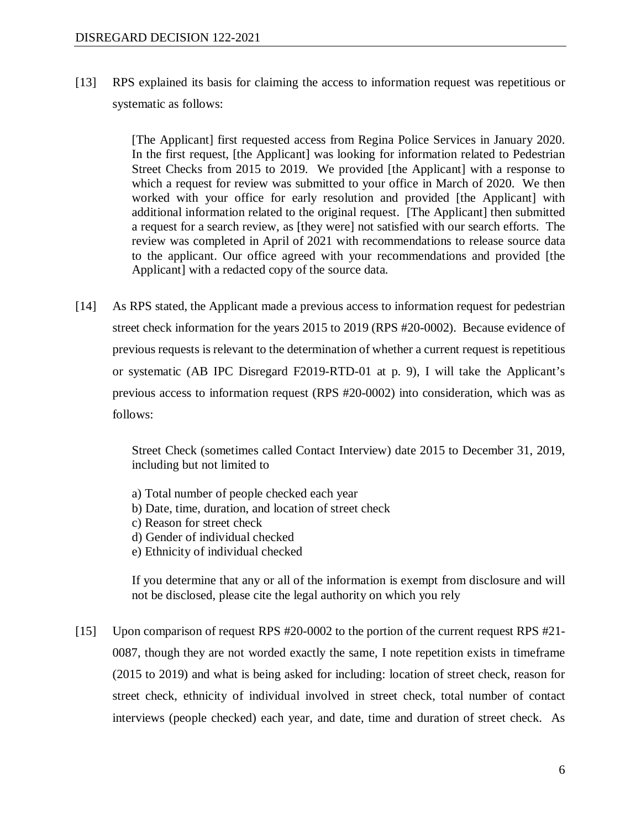[13] RPS explained its basis for claiming the access to information request was repetitious or systematic as follows:

> [The Applicant] first requested access from Regina Police Services in January 2020. In the first request, [the Applicant] was looking for information related to Pedestrian Street Checks from 2015 to 2019. We provided [the Applicant] with a response to which a request for review was submitted to your office in March of 2020. We then worked with your office for early resolution and provided [the Applicant] with additional information related to the original request. [The Applicant] then submitted a request for a search review, as [they were] not satisfied with our search efforts. The review was completed in April of 2021 with recommendations to release source data to the applicant. Our office agreed with your recommendations and provided [the Applicant] with a redacted copy of the source data.

[14] As RPS stated, the Applicant made a previous access to information request for pedestrian street check information for the years 2015 to 2019 (RPS #20-0002). Because evidence of previous requests is relevant to the determination of whether a current request is repetitious or systematic (AB IPC Disregard F2019-RTD-01 at p. 9), I will take the Applicant's previous access to information request (RPS #20-0002) into consideration, which was as follows:

> Street Check (sometimes called Contact Interview) date 2015 to December 31, 2019, including but not limited to

- a) Total number of people checked each year
- b) Date, time, duration, and location of street check
- c) Reason for street check
- d) Gender of individual checked
- e) Ethnicity of individual checked

If you determine that any or all of the information is exempt from disclosure and will not be disclosed, please cite the legal authority on which you rely

[15] Upon comparison of request RPS #20-0002 to the portion of the current request RPS #21-0087, though they are not worded exactly the same, I note repetition exists in timeframe (2015 to 2019) and what is being asked for including: location of street check, reason for street check, ethnicity of individual involved in street check, total number of contact interviews (people checked) each year, and date, time and duration of street check. As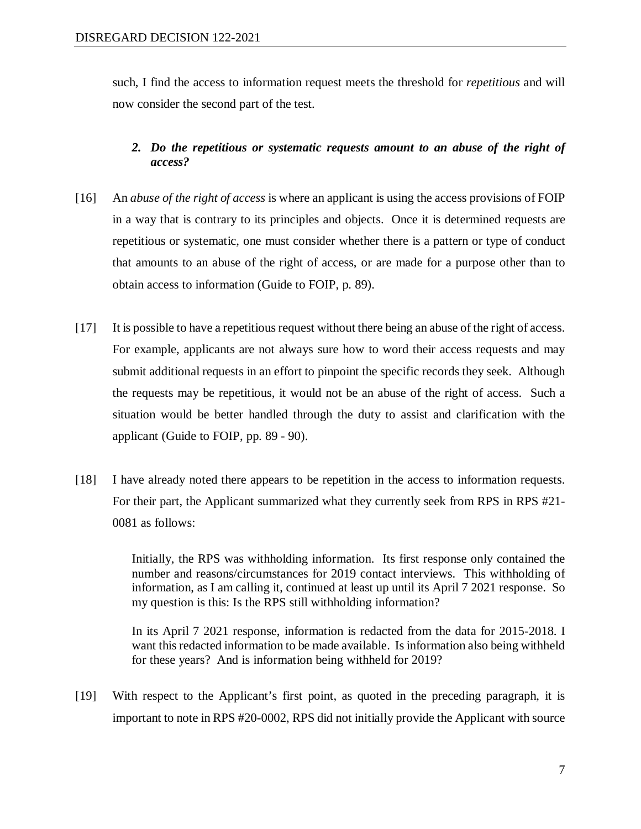such, I find the access to information request meets the threshold for *repetitious* and will now consider the second part of the test.

## *2. Do the repetitious or systematic requests amount to an abuse of the right of access?*

- [16] An *abuse of the right of access* is where an applicant is using the access provisions of FOIP in a way that is contrary to its principles and objects. Once it is determined requests are repetitious or systematic, one must consider whether there is a pattern or type of conduct that amounts to an abuse of the right of access, or are made for a purpose other than to obtain access to information (Guide to FOIP, p. 89).
- [17] It is possible to have a repetitious request without there being an abuse of the right of access. For example, applicants are not always sure how to word their access requests and may submit additional requests in an effort to pinpoint the specific records they seek. Although the requests may be repetitious, it would not be an abuse of the right of access. Such a situation would be better handled through the duty to assist and clarification with the applicant (Guide to FOIP, pp. 89 - 90).
- [18] I have already noted there appears to be repetition in the access to information requests. For their part, the Applicant summarized what they currently seek from RPS in RPS #21- 0081 as follows:

Initially, the RPS was withholding information. Its first response only contained the number and reasons/circumstances for 2019 contact interviews. This withholding of information, as I am calling it, continued at least up until its April 7 2021 response. So my question is this: Is the RPS still withholding information?

In its April 7 2021 response, information is redacted from the data for 2015-2018. I want this redacted information to be made available. Is information also being withheld for these years? And is information being withheld for 2019?

[19] With respect to the Applicant's first point, as quoted in the preceding paragraph, it is important to note in RPS #20-0002, RPS did not initially provide the Applicant with source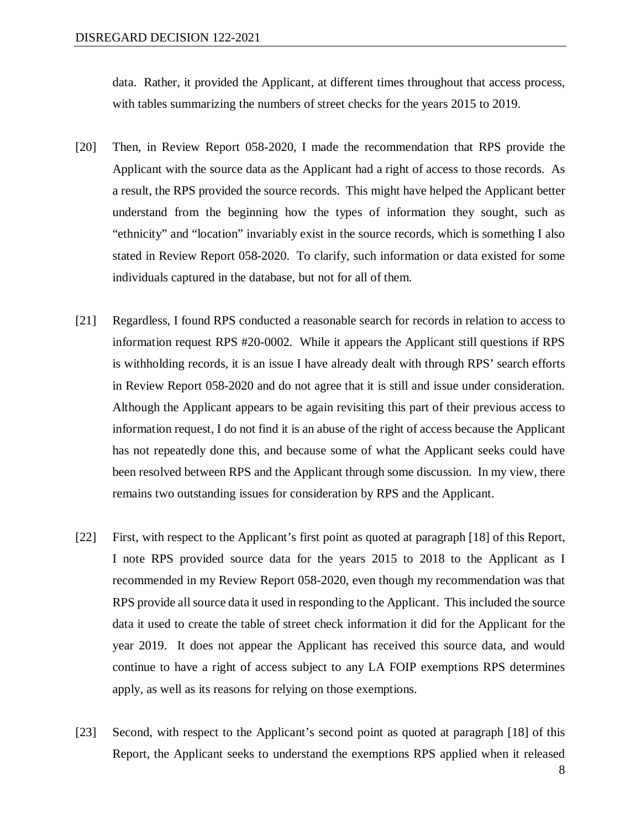data. Rather, it provided the Applicant, at different times throughout that access process, with tables summarizing the numbers of street checks for the years 2015 to 2019.

- [20] Then, in Review Report 058-2020, I made the recommendation that RPS provide the Applicant with the source data as the Applicant had a right of access to those records. As a result, the RPS provided the source records. This might have helped the Applicant better understand from the beginning how the types of information they sought, such as "ethnicity" and "location" invariably exist in the source records, which is something I also stated in Review Report 058-2020. To clarify, such information or data existed for some individuals captured in the database, but not for all of them.
- [21] Regardless, I found RPS conducted a reasonable search for records in relation to access to information request RPS #20-0002. While it appears the Applicant still questions if RPS is withholding records, it is an issue I have already dealt with through RPS' search efforts in Review Report 058-2020 and do not agree that it is still and issue under consideration. Although the Applicant appears to be again revisiting this part of their previous access to information request, I do not find it is an abuse of the right of access because the Applicant has not repeatedly done this, and because some of what the Applicant seeks could have been resolved between RPS and the Applicant through some discussion. In my view, there remains two outstanding issues for consideration by RPS and the Applicant.
- [22] First, with respect to the Applicant's first point as quoted at paragraph [18] of this Report, I note RPS provided source data for the years 2015 to 2018 to the Applicant as I recommended in my Review Report 058-2020, even though my recommendation was that RPS provide all source data it used in responding to the Applicant. This included the source data it used to create the table of street check information it did for the Applicant for the year 2019. It does not appear the Applicant has received this source data, and would continue to have a right of access subject to any LA FOIP exemptions RPS determines apply, as well as its reasons for relying on those exemptions.
- [23] Second, with respect to the Applicant's second point as quoted at paragraph [18] of this Report, the Applicant seeks to understand the exemptions RPS applied when it released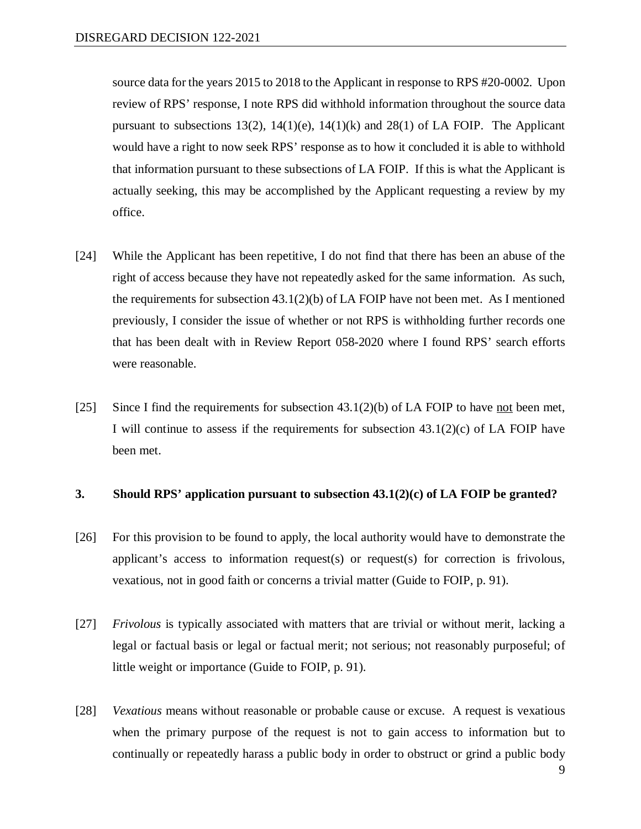source data for the years 2015 to 2018 to the Applicant in response to RPS #20-0002. Upon review of RPS' response, I note RPS did withhold information throughout the source data pursuant to subsections 13(2), 14(1)(e), 14(1)(k) and 28(1) of LA FOIP. The Applicant would have a right to now seek RPS' response as to how it concluded it is able to withhold that information pursuant to these subsections of LA FOIP. If this is what the Applicant is actually seeking, this may be accomplished by the Applicant requesting a review by my office.

- [24] While the Applicant has been repetitive, I do not find that there has been an abuse of the right of access because they have not repeatedly asked for the same information. As such, the requirements for subsection  $43.1(2)(b)$  of LA FOIP have not been met. As I mentioned previously, I consider the issue of whether or not RPS is withholding further records one that has been dealt with in Review Report 058-2020 where I found RPS' search efforts were reasonable.
- [25] Since I find the requirements for subsection  $43.1(2)(b)$  of LA FOIP to have not been met, I will continue to assess if the requirements for subsection  $43.1(2)(c)$  of LA FOIP have been met.

#### **3. Should RPS' application pursuant to subsection 43.1(2)(c) of LA FOIP be granted?**

- [26] For this provision to be found to apply, the local authority would have to demonstrate the applicant's access to information request(s) or request(s) for correction is frivolous, vexatious, not in good faith or concerns a trivial matter (Guide to FOIP, p. 91).
- [27] *Frivolous* is typically associated with matters that are trivial or without merit, lacking a legal or factual basis or legal or factual merit; not serious; not reasonably purposeful; of little weight or importance (Guide to FOIP, p. 91).
- [28] *Vexatious* means without reasonable or probable cause or excuse. A request is vexatious when the primary purpose of the request is not to gain access to information but to continually or repeatedly harass a public body in order to obstruct or grind a public body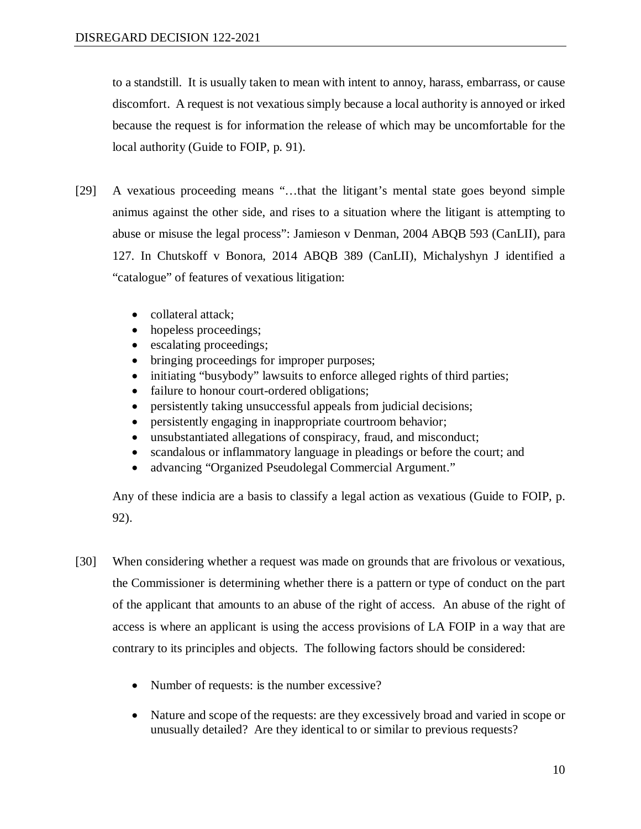to a standstill. It is usually taken to mean with intent to annoy, harass, embarrass, or cause discomfort. A request is not vexatious simply because a local authority is annoyed or irked because the request is for information the release of which may be uncomfortable for the local authority (Guide to FOIP, p. 91).

- [29] A vexatious proceeding means "…that the litigant's mental state goes beyond simple animus against the other side, and rises to a situation where the litigant is attempting to abuse or misuse the legal process": Jamieson v Denman, 2004 ABQB 593 (CanLII), para 127. In Chutskoff v Bonora, 2014 ABQB 389 (CanLII), Michalyshyn J identified a "catalogue" of features of vexatious litigation:
	- collateral attack:
	- hopeless proceedings;
	- escalating proceedings;
	- bringing proceedings for improper purposes;
	- initiating "busybody" lawsuits to enforce alleged rights of third parties;
	- failure to honour court-ordered obligations;
	- persistently taking unsuccessful appeals from judicial decisions;
	- persistently engaging in inappropriate courtroom behavior;
	- unsubstantiated allegations of conspiracy, fraud, and misconduct;
	- scandalous or inflammatory language in pleadings or before the court; and
	- advancing "Organized Pseudolegal Commercial Argument."

Any of these indicia are a basis to classify a legal action as vexatious (Guide to FOIP, p. 92).

- [30] When considering whether a request was made on grounds that are frivolous or vexatious, the Commissioner is determining whether there is a pattern or type of conduct on the part of the applicant that amounts to an abuse of the right of access. An abuse of the right of access is where an applicant is using the access provisions of LA FOIP in a way that are contrary to its principles and objects. The following factors should be considered:
	- Number of requests: is the number excessive?
	- Nature and scope of the requests: are they excessively broad and varied in scope or unusually detailed? Are they identical to or similar to previous requests?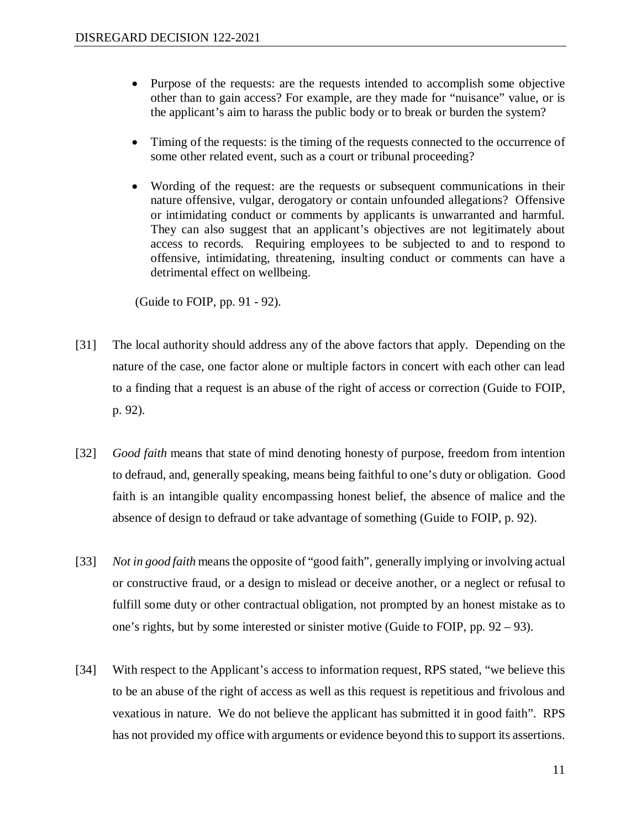- Purpose of the requests: are the requests intended to accomplish some objective other than to gain access? For example, are they made for "nuisance" value, or is the applicant's aim to harass the public body or to break or burden the system?
- Timing of the requests: is the timing of the requests connected to the occurrence of some other related event, such as a court or tribunal proceeding?
- Wording of the request: are the requests or subsequent communications in their nature offensive, vulgar, derogatory or contain unfounded allegations? Offensive or intimidating conduct or comments by applicants is unwarranted and harmful. They can also suggest that an applicant's objectives are not legitimately about access to records. Requiring employees to be subjected to and to respond to offensive, intimidating, threatening, insulting conduct or comments can have a detrimental effect on wellbeing.

(Guide to FOIP, pp. 91 - 92).

- [31] The local authority should address any of the above factors that apply. Depending on the nature of the case, one factor alone or multiple factors in concert with each other can lead to a finding that a request is an abuse of the right of access or correction (Guide to FOIP, p. 92).
- [32] *Good faith* means that state of mind denoting honesty of purpose, freedom from intention to defraud, and, generally speaking, means being faithful to one's duty or obligation. Good faith is an intangible quality encompassing honest belief, the absence of malice and the absence of design to defraud or take advantage of something (Guide to FOIP, p. 92).
- [33] *Not in good faith* means the opposite of "good faith", generally implying or involving actual or constructive fraud, or a design to mislead or deceive another, or a neglect or refusal to fulfill some duty or other contractual obligation, not prompted by an honest mistake as to one's rights, but by some interested or sinister motive (Guide to FOIP, pp. 92 – 93).
- [34] With respect to the Applicant's access to information request, RPS stated, "we believe this to be an abuse of the right of access as well as this request is repetitious and frivolous and vexatious in nature. We do not believe the applicant has submitted it in good faith". RPS has not provided my office with arguments or evidence beyond this to support its assertions.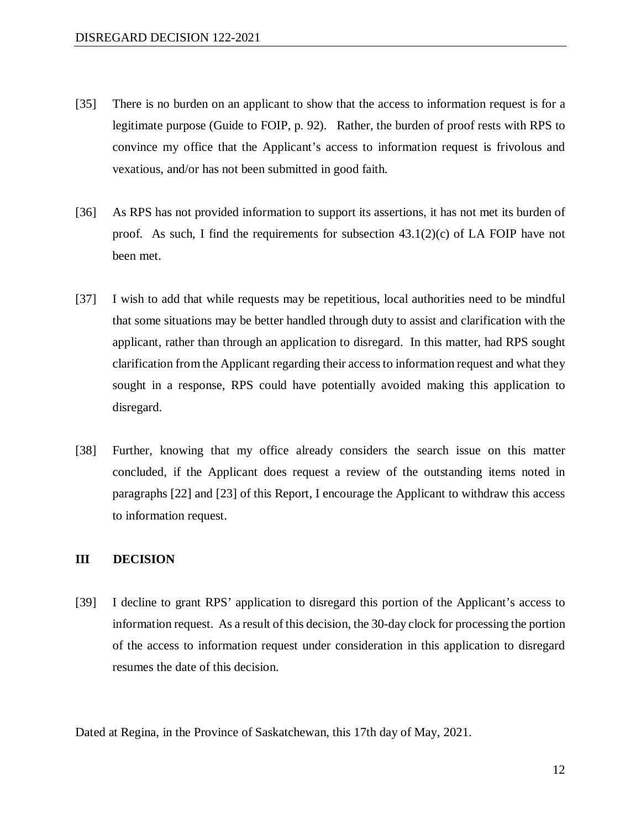- [35] There is no burden on an applicant to show that the access to information request is for a legitimate purpose (Guide to FOIP, p. 92). Rather, the burden of proof rests with RPS to convince my office that the Applicant's access to information request is frivolous and vexatious, and/or has not been submitted in good faith.
- [36] As RPS has not provided information to support its assertions, it has not met its burden of proof. As such, I find the requirements for subsection  $43.1(2)(c)$  of LA FOIP have not been met.
- [37] I wish to add that while requests may be repetitious, local authorities need to be mindful that some situations may be better handled through duty to assist and clarification with the applicant, rather than through an application to disregard. In this matter, had RPS sought clarification from the Applicant regarding their access to information request and what they sought in a response, RPS could have potentially avoided making this application to disregard.
- [38] Further, knowing that my office already considers the search issue on this matter concluded, if the Applicant does request a review of the outstanding items noted in paragraphs [22] and [23] of this Report, I encourage the Applicant to withdraw this access to information request.

#### **III DECISION**

[39] I decline to grant RPS' application to disregard this portion of the Applicant's access to information request. As a result of this decision, the 30-day clock for processing the portion of the access to information request under consideration in this application to disregard resumes the date of this decision.

Dated at Regina, in the Province of Saskatchewan, this 17th day of May, 2021.